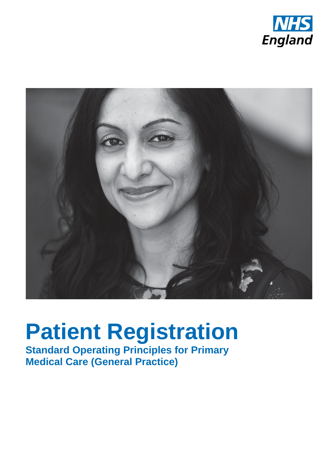



# **Patient Registration**

**Standard Operating Principles for Primary Medical Care (General Practice)**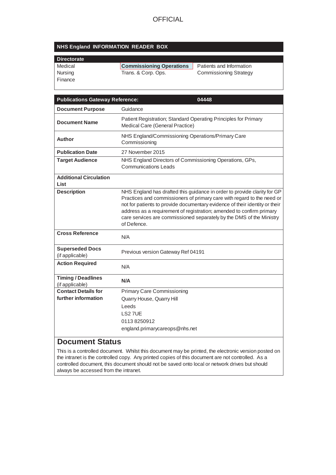#### **NHS England INFORMATION READER BOX**

| Directorate |                                 |                               |
|-------------|---------------------------------|-------------------------------|
| l Medical   | <b>Commissioning Operations</b> | Patients and Information      |
| Nursing     | Trans. & Corp. Ops.             | <b>Commissioning Strategy</b> |
| l Finance   |                                 |                               |

| <b>Publications Gateway Reference:</b><br>04448 |                                                                                                                                                                                                                                                                                                                                                                                                  |  |
|-------------------------------------------------|--------------------------------------------------------------------------------------------------------------------------------------------------------------------------------------------------------------------------------------------------------------------------------------------------------------------------------------------------------------------------------------------------|--|
| <b>Document Purpose</b>                         | Guidance                                                                                                                                                                                                                                                                                                                                                                                         |  |
| <b>Document Name</b>                            | Patient Registration; Standard Operating Principles for Primary<br>Medical Care (General Practice)                                                                                                                                                                                                                                                                                               |  |
| Author                                          | NHS England/Commissioning Operations/Primary Care<br>Commissioning                                                                                                                                                                                                                                                                                                                               |  |
| <b>Publication Date</b>                         | 27 November 2015                                                                                                                                                                                                                                                                                                                                                                                 |  |
| <b>Target Audience</b>                          | NHS England Directors of Commissioning Operations, GPs,<br><b>Communications Leads</b>                                                                                                                                                                                                                                                                                                           |  |
| <b>Additional Circulation</b><br>List           |                                                                                                                                                                                                                                                                                                                                                                                                  |  |
| <b>Description</b>                              | NHS England has drafted this guidance in order to provide clarity for GP<br>Practices and commissioners of primary care with regard to the need or<br>not for patients to provide documentary evidence of their identity or their<br>address as a requirement of registration; amended to confirm primary<br>care services are commissioned separately by the DMS of the Ministry<br>of Defence. |  |
| <b>Cross Reference</b>                          | N/A                                                                                                                                                                                                                                                                                                                                                                                              |  |
| <b>Superseded Docs</b><br>(if applicable)       | Previous version Gateway Ref 04191                                                                                                                                                                                                                                                                                                                                                               |  |
| <b>Action Required</b>                          | N/A                                                                                                                                                                                                                                                                                                                                                                                              |  |
| <b>Timing / Deadlines</b><br>(if applicable)    | N/A                                                                                                                                                                                                                                                                                                                                                                                              |  |
| <b>Contact Details for</b>                      | Primary Care Commissioning                                                                                                                                                                                                                                                                                                                                                                       |  |
| further information                             | Quarry House, Quarry Hill                                                                                                                                                                                                                                                                                                                                                                        |  |
|                                                 | Leeds                                                                                                                                                                                                                                                                                                                                                                                            |  |
|                                                 | LS27UE                                                                                                                                                                                                                                                                                                                                                                                           |  |
|                                                 | 01138250912                                                                                                                                                                                                                                                                                                                                                                                      |  |
|                                                 | england.primarycareops@nhs.net                                                                                                                                                                                                                                                                                                                                                                   |  |

#### **Document Status**

This is a controlled document. Whilst this document may be printed, the electronic version posted on the intranet is the controlled copy. Any printed copies of this document are not controlled. As a controlled document, this document should not be saved onto local or network drives but should always be accessed from the intranet.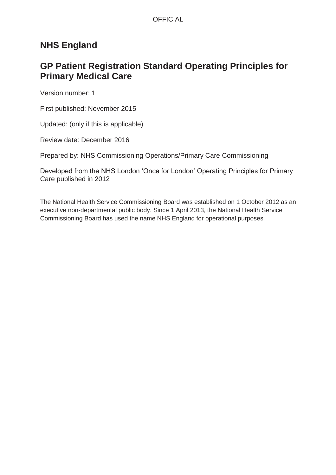# **NHS England**

## **GP Patient Registration Standard Operating Principles for Primary Medical Care**

Version number: 1

First published: November 2015

Updated: (only if this is applicable)

Review date: December 2016

Prepared by: NHS Commissioning Operations/Primary Care Commissioning

Developed from the NHS London 'Once for London' Operating Principles for Primary Care published in 2012

The National Health Service Commissioning Board was established on 1 October 2012 as an executive non-departmental public body. Since 1 April 2013, the National Health Service Commissioning Board has used the name NHS England for operational purposes*.*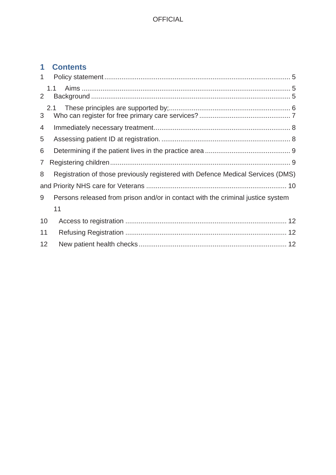## **1 Contents**

| $1 \quad$      |                                                                                 |  |
|----------------|---------------------------------------------------------------------------------|--|
| 2              | 1.1                                                                             |  |
| 3              | 2.1                                                                             |  |
| 4              |                                                                                 |  |
| 5              |                                                                                 |  |
| 6              |                                                                                 |  |
| $\overline{7}$ |                                                                                 |  |
| 8              | Registration of those previously registered with Defence Medical Services (DMS) |  |
|                |                                                                                 |  |
| 9              | Persons released from prison and/or in contact with the criminal justice system |  |
|                | 11                                                                              |  |
| 10             |                                                                                 |  |
| 11             |                                                                                 |  |
| 12             |                                                                                 |  |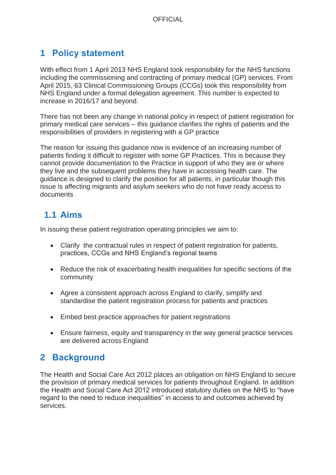# **1 Policy statement**

With effect from 1 April 2013 NHS England took responsibility for the NHS functions including the commissioning and contracting of primary medical (GP) services. From April 2015, 63 Clinical Commissioning Groups (CCGs) took this responsibility from NHS England under a formal delegation agreement. This number is expected to increase in 2016/17 and beyond.

There has not been any change in national policy in respect of patient registration for primary medical care services – this guidance clarifies the rights of patients and the responsibilities of providers in registering with a GP practice

The reason for issuing this guidance now is evidence of an increasing number of patients finding it difficult to register with some GP Practices. This is because they cannot provide documentation to the Practice in support of who they are or where they live and the subsequent problems they have in accessing health care. The guidance is designed to clarify the position for all patients, in particular though this issue is affecting migrants and asylum seekers who do not have ready access to documents

# **1.1 Aims**

In issuing these patient registration operating principles we aim to:

- Clarify the contractual rules in respect of patient registration for patients, practices, CCGs and NHS England's regional teams
- Reduce the risk of exacerbating health inequalities for specific sections of the community
- Agree a consistent approach across England to clarify, simplify and standardise the patient registration process for patients and practices
- Embed best practice approaches for patient registrations
- Ensure fairness, equity and transparency in the way general practice services are delivered across England

# **2 Background**

The Health and Social Care Act 2012 places an obligation on NHS England to secure the provision of primary medical services for patients throughout England. In addition the Health and Social Care Act 2012 introduced statutory duties on the NHS to "have regard to the need to reduce inequalities" in access to and outcomes achieved by services.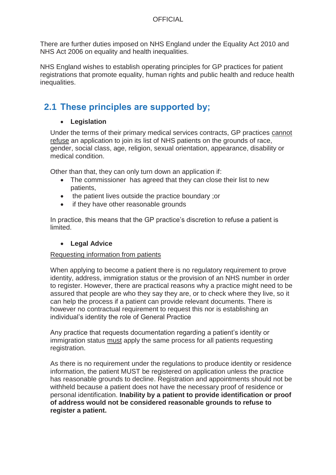There are further duties imposed on NHS England under the Equality Act 2010 and NHS Act 2006 on equality and health inequalities.

NHS England wishes to establish operating principles for GP practices for patient registrations that promote equality, human rights and public health and reduce health inequalities.

# **2.1 These principles are supported by;**

#### **Legislation**

Under the terms of their primary medical services contracts, GP practices cannot refuse an application to join its list of NHS patients on the grounds of race, gender, social class, age, religion, sexual orientation, appearance, disability or medical condition.

Other than that, they can only turn down an application if:

- The commissioner has agreed that they can close their list to new patients,
- the patient lives outside the practice boundary ;or
- if they have other reasonable grounds

In practice, this means that the GP practice's discretion to refuse a patient is limited.

#### x **Legal Advice**

#### Requesting information from patients

When applying to become a patient there is no regulatory requirement to prove identity, address, immigration status or the provision of an NHS number in order to register. However, there are practical reasons why a practice might need to be assured that people are who they say they are, or to check where they live, so it can help the process if a patient can provide relevant documents. There is however no contractual requirement to request this nor is establishing an individual's identity the role of General Practice

Any practice that requests documentation regarding a patient's identity or immigration status must apply the same process for all patients requesting registration.

As there is no requirement under the regulations to produce identity or residence information, the patient MUST be registered on application unless the practice has reasonable grounds to decline. Registration and appointments should not be withheld because a patient does not have the necessary proof of residence or personal identification. **Inability by a patient to provide identification or proof of address would not be considered reasonable grounds to refuse to register a patient.**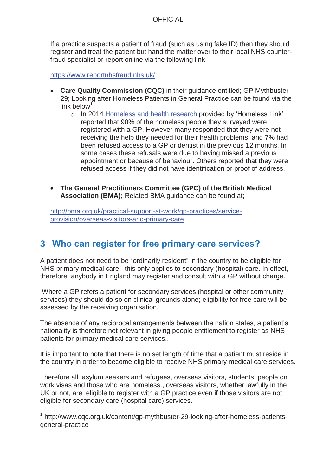If a practice suspects a patient of fraud (such as using fake ID) then they should register and treat the patient but hand the matter over to their local NHS counterfraud specialist or report online via the following link

https://www.reportnhsfraud.nhs.uk/

- x **Care Quality Commission (CQC)** in their guidance entitled; GP Mythbuster 29; Looking after Homeless Patients in General Practice can be found via the link below<sup>1</sup>
	- o In 2014 Homeless and health research provided by 'Homeless Link' reported that 90% of the homeless people they surveyed were registered with a GP. However many responded that they were not receiving the help they needed for their health problems, and 7% had been refused access to a GP or dentist in the previous 12 months. In some cases these refusals were due to having missed a previous appointment or because of behaviour. Others reported that they were refused access if they did not have identification or proof of address.
- **The General Practitioners Committee (GPC) of the British Medical Association (BMA);** Related BMA guidance can be found at;

http://bma.org.uk/practical-support-at-work/gp-practices/serviceprovision/overseas-visitors-and-primary-care

## **3 Who can register for free primary care services?**

A patient does not need to be "ordinarily resident" in the country to be eligible for NHS primary medical care –this only applies to secondary (hospital) care. In effect, therefore, anybody in England may register and consult with a GP without charge.

 Where a GP refers a patient for secondary services (hospital or other community services) they should do so on clinical grounds alone; eligibility for free care will be assessed by the receiving organisation.

The absence of any reciprocal arrangements between the nation states, a patient's nationality is therefore not relevant in giving people entitlement to register as NHS patients for primary medical care services..

It is important to note that there is no set length of time that a patient must reside in the country in order to become eligible to receive NHS primary medical care services.

Therefore all asylum seekers and refugees, overseas visitors, students, people on work visas and those who are homeless., overseas visitors, whether lawfully in the UK or not, are eligible to register with a GP practice even if those visitors are not eligible for secondary care (hospital care) services.

l

<sup>&</sup>lt;sup>1</sup> http://www.cqc.org.uk/content/gp-mythbuster-29-looking-after-homeless-patientsgeneral-practice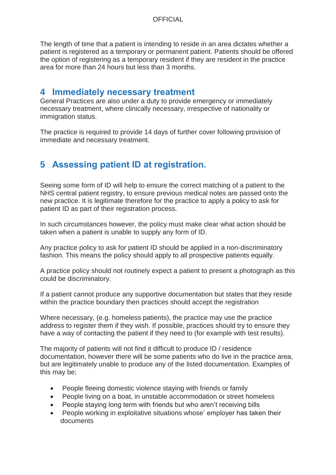The length of time that a patient is intending to reside in an area dictates whether a patient is registered as a temporary or permanent patient. Patients should be offered the option of registering as a temporary resident if they are resident in the practice area for more than 24 hours but less than 3 months.

### **4 Immediately necessary treatment**

General Practices are also under a duty to provide emergency or immediately necessary treatment, where clinically necessary, irrespective of nationality or immigration status.

The practice is required to provide 14 days of further cover following provision of immediate and necessary treatment.

## **5 Assessing patient ID at registration.**

Seeing some form of ID will help to ensure the correct matching of a patient to the NHS central patient registry, to ensure previous medical notes are passed onto the new practice. It is legitimate therefore for the practice to apply a policy to ask for patient ID as part of their registration process.

In such circumstances however, the policy must make clear what action should be taken when a patient is unable to supply any form of ID.

Any practice policy to ask for patient ID should be applied in a non-discriminatory fashion. This means the policy should apply to all prospective patients equally.

A practice policy should not routinely expect a patient to present a photograph as this could be discriminatory.

If a patient cannot produce any supportive documentation but states that they reside within the practice boundary then practices should accept the registration

Where necessary, (e.g. homeless patients), the practice may use the practice address to register them if they wish. If possible, practices should try to ensure they have a way of contacting the patient if they need to (for example with test results).

The majority of patients will not find it difficult to produce ID / residence documentation, however there will be some patients who do live in the practice area, but are legitimately unable to produce any of the listed documentation. Examples of this may be;

- People fleeing domestic violence staying with friends or family
- People living on a boat, in unstable accommodation or street homeless
- People staying long term with friends but who aren't receiving bills
- People working in exploitative situations whose' employer has taken their documents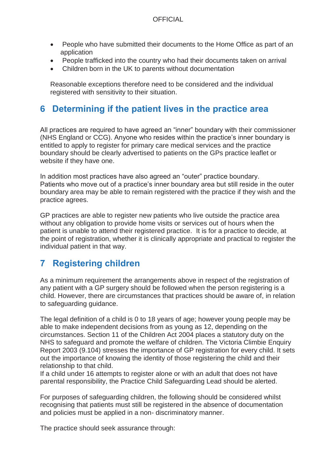- People who have submitted their documents to the Home Office as part of an application
- People trafficked into the country who had their documents taken on arrival
- Children born in the UK to parents without documentation

Reasonable exceptions therefore need to be considered and the individual registered with sensitivity to their situation.

## **6 Determining if the patient lives in the practice area**

All practices are required to have agreed an "inner" boundary with their commissioner (NHS England or CCG). Anyone who resides within the practice's inner boundary is entitled to apply to register for primary care medical services and the practice boundary should be clearly advertised to patients on the GPs practice leaflet or website if they have one.

In addition most practices have also agreed an "outer" practice boundary. Patients who move out of a practice's inner boundary area but still reside in the outer boundary area may be able to remain registered with the practice if they wish and the practice agrees.

GP practices are able to register new patients who live outside the practice area without any obligation to provide home visits or services out of hours when the patient is unable to attend their registered practice. It is for a practice to decide, at the point of registration, whether it is clinically appropriate and practical to register the individual patient in that way.

# **7 Registering children**

As a minimum requirement the arrangements above in respect of the registration of any patient with a GP surgery should be followed when the person registering is a child. However, there are circumstances that practices should be aware of, in relation to safeguarding guidance.

The legal definition of a child is 0 to 18 years of age; however young people may be able to make independent decisions from as young as 12, depending on the circumstances. Section 11 of the Children Act 2004 places a statutory duty on the NHS to safeguard and promote the welfare of children. The Victoria Climbie Enquiry Report 2003 (9.104) stresses the importance of GP registration for every child. It sets out the importance of knowing the identity of those registering the child and their relationship to that child.

If a child under 16 attempts to register alone or with an adult that does not have parental responsibility, the Practice Child Safeguarding Lead should be alerted.

For purposes of safeguarding children, the following should be considered whilst recognising that patients must still be registered in the absence of documentation and policies must be applied in a non- discriminatory manner.

The practice should seek assurance through: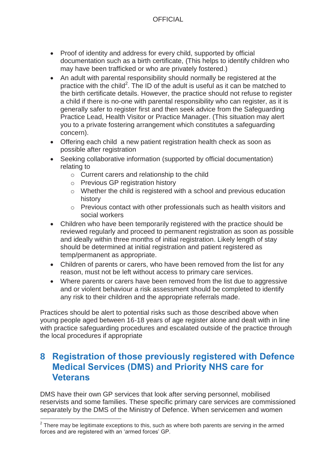- Proof of identity and address for every child, supported by official documentation such as a birth certificate, (This helps to identify children who may have been trafficked or who are privately fostered.)
- An adult with parental responsibility should normally be registered at the practice with the child<sup>2</sup>. The ID of the adult is useful as it can be matched to the birth certificate details. However, the practice should not refuse to register a child if there is no-one with parental responsibility who can register, as it is generally safer to register first and then seek advice from the Safeguarding Practice Lead, Health Visitor or Practice Manager. (This situation may alert you to a private fostering arrangement which constitutes a safeguarding concern).
- Offering each child a new patient registration health check as soon as possible after registration
- Seeking collaborative information (supported by official documentation) relating to
	- o Current carers and relationship to the child
	- o Previous GP registration history
	- o Whether the child is registered with a school and previous education history
	- o Previous contact with other professionals such as health visitors and social workers
- Children who have been temporarily registered with the practice should be reviewed regularly and proceed to permanent registration as soon as possible and ideally within three months of initial registration. Likely length of stay should be determined at initial registration and patient registered as temp/permanent as appropriate.
- Children of parents or carers, who have been removed from the list for any reason, must not be left without access to primary care services.
- Where parents or carers have been removed from the list due to aggressive and or violent behaviour a risk assessment should be completed to identify any risk to their children and the appropriate referrals made.

Practices should be alert to potential risks such as those described above when young people aged between 16-18 years of age register alone and dealt with in line with practice safeguarding procedures and escalated outside of the practice through the local procedures if appropriate

## **8 Registration of those previously registered with Defence Medical Services (DMS) and Priority NHS care for Veterans**

DMS have their own GP services that look after serving personnel, mobilised reservists and some families. These specific primary care services are commissioned separately by the DMS of the Ministry of Defence. When servicemen and women

 $\overline{\phantom{a}^2}$  There may be legitimate exceptions to this, such as where both parents are serving in the armed forces and are registered with an 'armed forces' GP.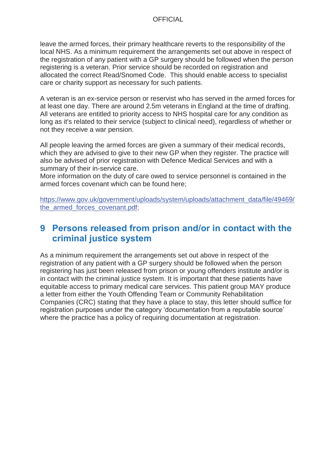leave the armed forces, their primary healthcare reverts to the responsibility of the local NHS. As a minimum requirement the arrangements set out above in respect of the registration of any patient with a GP surgery should be followed when the person registering is a veteran. Prior service should be recorded on registration and allocated the correct Read/Snomed Code. This should enable access to specialist care or charity support as necessary for such patients.

A veteran is an ex-service person or reservist who has served in the armed forces for at least one day. There are around 2.5m veterans in England at the time of drafting. All veterans are entitled to priority access to NHS hospital care for any condition as long as it's related to their service (subject to clinical need), regardless of whether or not they receive a war pension.

All people leaving the armed forces are given a summary of their medical records, which they are advised to give to their new GP when they register. The practice will also be advised of prior registration with Defence Medical Services and with a summary of their in-service care.

More information on the duty of care owed to service personnel is contained in the armed forces covenant which can be found here;

https://www.gov.uk/government/uploads/system/uploads/attachment\_data/file/49469/ the\_armed\_forces\_covenant.pdf:

## **9 Persons released from prison and/or in contact with the criminal justice system**

As a minimum requirement the arrangements set out above in respect of the registration of any patient with a GP surgery should be followed when the person registering has just been released from prison or young offenders institute and/or is in contact with the criminal justice system. It is important that these patients have equitable access to primary medical care services. This patient group MAY produce a letter from either the Youth Offending Team or Community Rehabilitation Companies (CRC) stating that they have a place to stay, this letter should suffice for registration purposes under the category 'documentation from a reputable source' where the practice has a policy of requiring documentation at registration.